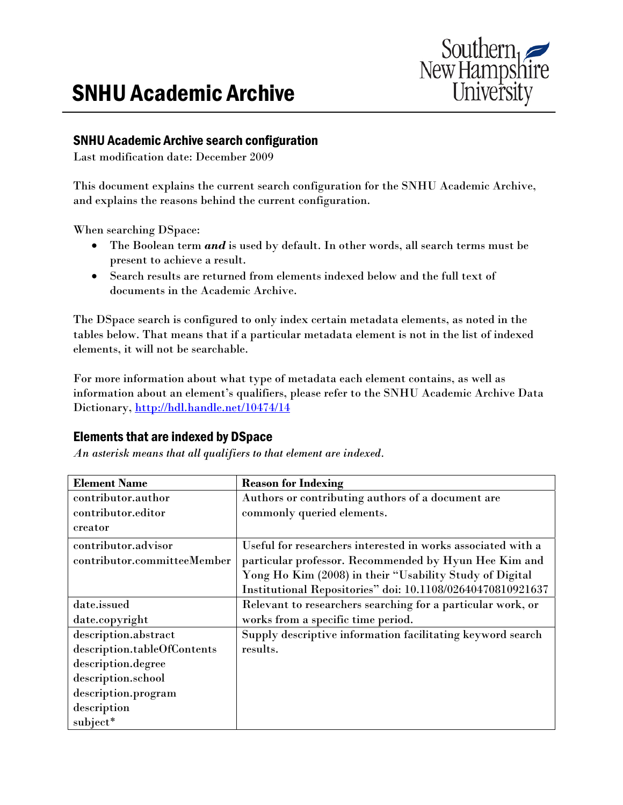

## SNHU Academic Archive search configuration

Last modification date: December 2009

This document explains the current search configuration for the SNHU Academic Archive, and explains the reasons behind the current configuration.

When searching DSpace:

- The Boolean term *and* is used by default. In other words, all search terms must be present to achieve a result.
- Search results are returned from elements indexed below and the full text of documents in the Academic Archive.

The DSpace search is configured to only index certain metadata elements, as noted in the tables below. That means that if a particular metadata element is not in the list of indexed elements, it will not be searchable.

For more information about what type of metadata each element contains, as well as information about an element's qualifiers, please refer to the SNHU Academic Archive Data Dictionary, http://hdl.handle.net/10474/14

## Elements that are indexed by DSpace

*An asterisk means that all qualifiers to that element are indexed.* 

| <b>Element Name</b>         | <b>Reason for Indexing</b>                                   |
|-----------------------------|--------------------------------------------------------------|
| contributor.author          | Authors or contributing authors of a document are            |
| contributor.editor          | commonly queried elements.                                   |
| creator                     |                                                              |
| contributor.advisor         | Useful for researchers interested in works associated with a |
| contributor.committeeMember | particular professor. Recommended by Hyun Hee Kim and        |
|                             | Yong Ho Kim (2008) in their "Usability Study of Digital      |
|                             | Institutional Repositories" doi: 10.1108/02640470810921637   |
| date.issued                 | Relevant to researchers searching for a particular work, or  |
| date.copyright              | works from a specific time period.                           |
| description.abstract        | Supply descriptive information facilitating keyword search   |
| description.tableOfContents | results.                                                     |
| description.degree          |                                                              |
| description.school          |                                                              |
| description.program         |                                                              |
| description                 |                                                              |
| subject*                    |                                                              |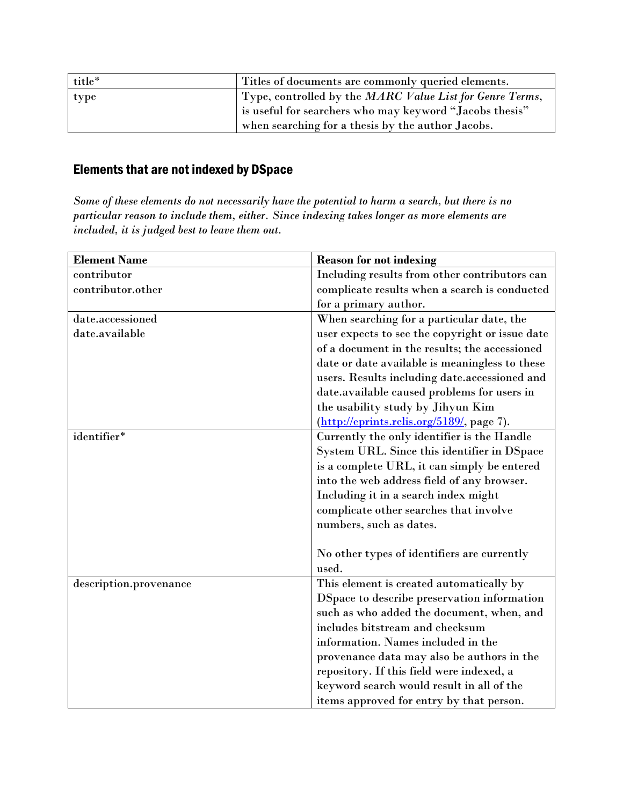| title* | Titles of documents are commonly queried elements.       |
|--------|----------------------------------------------------------|
| type   | Type, controlled by the MARC Value List for Genre Terms, |
|        | is useful for searchers who may keyword "Jacobs thesis"  |
|        | when searching for a thesis by the author Jacobs.        |

## Elements that are not indexed by DSpace

*Some of these elements do not necessarily have the potential to harm a search, but there is no particular reason to include them, either. Since indexing takes longer as more elements are included, it is judged best to leave them out.* 

| <b>Element Name</b>    | <b>Reason for not indexing</b>                  |
|------------------------|-------------------------------------------------|
| contributor            | Including results from other contributors can   |
| contributor.other      | complicate results when a search is conducted   |
|                        | for a primary author.                           |
| date.accessioned       | When searching for a particular date, the       |
| date.available         | user expects to see the copyright or issue date |
|                        | of a document in the results; the accessioned   |
|                        | date or date available is meaningless to these  |
|                        | users. Results including date.accessioned and   |
|                        | date.available caused problems for users in     |
|                        | the usability study by Jihyun Kim               |
|                        | (http://eprints.rclis.org/5189/, page 7).       |
| identifier*            | Currently the only identifier is the Handle     |
|                        | System URL. Since this identifier in DSpace     |
|                        | is a complete URL, it can simply be entered     |
|                        | into the web address field of any browser.      |
|                        | Including it in a search index might            |
|                        | complicate other searches that involve          |
|                        | numbers, such as dates.                         |
|                        |                                                 |
|                        | No other types of identifiers are currently     |
|                        | used.                                           |
| description.provenance | This element is created automatically by        |
|                        | DSpace to describe preservation information     |
|                        | such as who added the document, when, and       |
|                        | includes bitstream and checksum                 |
|                        | information. Names included in the              |
|                        | provenance data may also be authors in the      |
|                        | repository. If this field were indexed, a       |
|                        | keyword search would result in all of the       |
|                        | items approved for entry by that person.        |